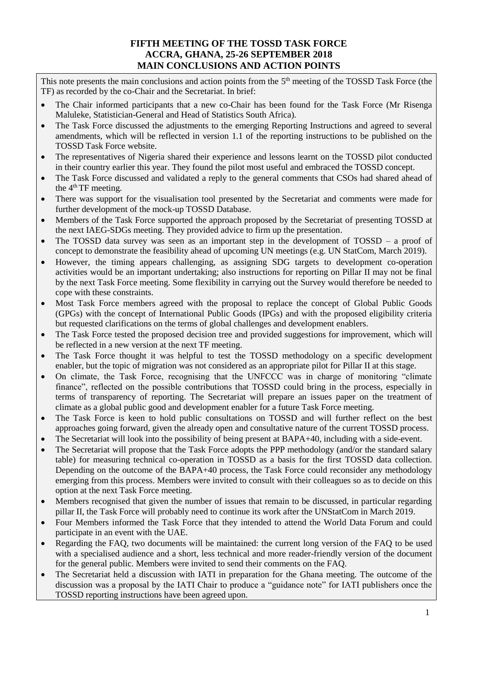## **FIFTH MEETING OF THE TOSSD TASK FORCE ACCRA, GHANA, 25-26 SEPTEMBER 2018 MAIN CONCLUSIONS AND ACTION POINTS**

This note presents the main conclusions and action points from the  $5<sup>th</sup>$  meeting of the TOSSD Task Force (the TF) as recorded by the co-Chair and the Secretariat. In brief:

- The Chair informed participants that a new co-Chair has been found for the Task Force (Mr Risenga Maluleke, Statistician-General and Head of Statistics South Africa).
- The Task Force discussed the adjustments to the emerging Reporting Instructions and agreed to several amendments, which will be reflected in version 1.1 of the reporting instructions to be published on the TOSSD Task Force website.
- The representatives of Nigeria shared their experience and lessons learnt on the TOSSD pilot conducted in their country earlier this year. They found the pilot most useful and embraced the TOSSD concept.
- The Task Force discussed and validated a reply to the general comments that CSOs had shared ahead of the  $4<sup>th</sup>TF$  meeting.
- There was support for the visualisation tool presented by the Secretariat and comments were made for further development of the mock-up TOSSD Database.
- Members of the Task Force supported the approach proposed by the Secretariat of presenting TOSSD at the next IAEG-SDGs meeting. They provided advice to firm up the presentation.
- The TOSSD data survey was seen as an important step in the development of TOSSD a proof of concept to demonstrate the feasibility ahead of upcoming UN meetings (e.g. UN StatCom, March 2019).
- However, the timing appears challenging, as assigning SDG targets to development co-operation activities would be an important undertaking; also instructions for reporting on Pillar II may not be final by the next Task Force meeting. Some flexibility in carrying out the Survey would therefore be needed to cope with these constraints.
- Most Task Force members agreed with the proposal to replace the concept of Global Public Goods (GPGs) with the concept of International Public Goods (IPGs) and with the proposed eligibility criteria but requested clarifications on the terms of global challenges and development enablers.
- The Task Force tested the proposed decision tree and provided suggestions for improvement, which will be reflected in a new version at the next TF meeting.
- The Task Force thought it was helpful to test the TOSSD methodology on a specific development enabler, but the topic of migration was not considered as an appropriate pilot for Pillar II at this stage.
- On climate, the Task Force, recognising that the UNFCCC was in charge of monitoring "climate finance", reflected on the possible contributions that TOSSD could bring in the process, especially in terms of transparency of reporting. The Secretariat will prepare an issues paper on the treatment of climate as a global public good and development enabler for a future Task Force meeting.
- The Task Force is keen to hold public consultations on TOSSD and will further reflect on the best approaches going forward, given the already open and consultative nature of the current TOSSD process.
- The Secretariat will look into the possibility of being present at BAPA+40, including with a side-event.
- The Secretariat will propose that the Task Force adopts the PPP methodology (and/or the standard salary table) for measuring technical co-operation in TOSSD as a basis for the first TOSSD data collection. Depending on the outcome of the BAPA+40 process, the Task Force could reconsider any methodology emerging from this process. Members were invited to consult with their colleagues so as to decide on this option at the next Task Force meeting.
- Members recognised that given the number of issues that remain to be discussed, in particular regarding pillar II, the Task Force will probably need to continue its work after the UNStatCom in March 2019.
- Four Members informed the Task Force that they intended to attend the World Data Forum and could participate in an event with the UAE.
- Regarding the FAQ, two documents will be maintained: the current long version of the FAQ to be used with a specialised audience and a short, less technical and more reader-friendly version of the document for the general public. Members were invited to send their comments on the FAQ.
- The Secretariat held a discussion with IATI in preparation for the Ghana meeting. The outcome of the discussion was a proposal by the IATI Chair to produce a "guidance note" for IATI publishers once the TOSSD reporting instructions have been agreed upon.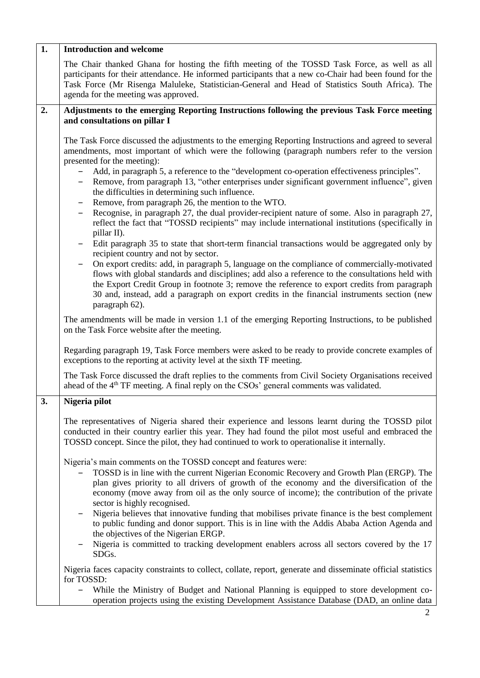| 1. | <b>Introduction and welcome</b>                                                                                                                                                                                                                                                                                                                                                                                    |
|----|--------------------------------------------------------------------------------------------------------------------------------------------------------------------------------------------------------------------------------------------------------------------------------------------------------------------------------------------------------------------------------------------------------------------|
|    | The Chair thanked Ghana for hosting the fifth meeting of the TOSSD Task Force, as well as all<br>participants for their attendance. He informed participants that a new co-Chair had been found for the<br>Task Force (Mr Risenga Maluleke, Statistician-General and Head of Statistics South Africa). The<br>agenda for the meeting was approved.                                                                 |
| 2. | Adjustments to the emerging Reporting Instructions following the previous Task Force meeting                                                                                                                                                                                                                                                                                                                       |
|    | and consultations on pillar I                                                                                                                                                                                                                                                                                                                                                                                      |
|    | The Task Force discussed the adjustments to the emerging Reporting Instructions and agreed to several<br>amendments, most important of which were the following (paragraph numbers refer to the version<br>presented for the meeting):<br>Add, in paragraph 5, a reference to the "development co-operation effectiveness principles".<br>$\qquad \qquad \blacksquare$                                             |
|    | Remove, from paragraph 13, "other enterprises under significant government influence", given<br>$\qquad \qquad \blacksquare$<br>the difficulties in determining such influence.                                                                                                                                                                                                                                    |
|    | Remove, from paragraph 26, the mention to the WTO.<br>Recognise, in paragraph 27, the dual provider-recipient nature of some. Also in paragraph 27,<br>$\qquad \qquad -$<br>reflect the fact that "TOSSD recipients" may include international institutions (specifically in<br>pillar II).                                                                                                                        |
|    | Edit paragraph 35 to state that short-term financial transactions would be aggregated only by<br>recipient country and not by sector.                                                                                                                                                                                                                                                                              |
|    | On export credits: add, in paragraph 5, language on the compliance of commercially-motivated<br>flows with global standards and disciplines; add also a reference to the consultations held with<br>the Export Credit Group in footnote 3; remove the reference to export credits from paragraph<br>30 and, instead, add a paragraph on export credits in the financial instruments section (new<br>paragraph 62). |
|    | The amendments will be made in version 1.1 of the emerging Reporting Instructions, to be published<br>on the Task Force website after the meeting.                                                                                                                                                                                                                                                                 |
|    | Regarding paragraph 19, Task Force members were asked to be ready to provide concrete examples of<br>exceptions to the reporting at activity level at the sixth TF meeting.                                                                                                                                                                                                                                        |
|    | The Task Force discussed the draft replies to the comments from Civil Society Organisations received<br>ahead of the 4 <sup>th</sup> TF meeting. A final reply on the CSOs' general comments was validated.                                                                                                                                                                                                        |
| 3. | Nigeria pilot                                                                                                                                                                                                                                                                                                                                                                                                      |
|    | The representatives of Nigeria shared their experience and lessons learnt during the TOSSD pilot<br>conducted in their country earlier this year. They had found the pilot most useful and embraced the<br>TOSSD concept. Since the pilot, they had continued to work to operationalise it internally.                                                                                                             |
|    | Nigeria's main comments on the TOSSD concept and features were:<br>TOSSD is in line with the current Nigerian Economic Recovery and Growth Plan (ERGP). The<br>plan gives priority to all drivers of growth of the economy and the diversification of the<br>economy (move away from oil as the only source of income); the contribution of the private<br>sector is highly recognised.                            |
|    | Nigeria believes that innovative funding that mobilises private finance is the best complement<br>to public funding and donor support. This is in line with the Addis Ababa Action Agenda and<br>the objectives of the Nigerian ERGP.                                                                                                                                                                              |
|    | Nigeria is committed to tracking development enablers across all sectors covered by the 17<br>SDGs.                                                                                                                                                                                                                                                                                                                |
|    | Nigeria faces capacity constraints to collect, collate, report, generate and disseminate official statistics<br>for TOSSD:                                                                                                                                                                                                                                                                                         |
|    | While the Ministry of Budget and National Planning is equipped to store development co-<br>$\qquad \qquad -$<br>operation projects using the existing Development Assistance Database (DAD, an online data                                                                                                                                                                                                         |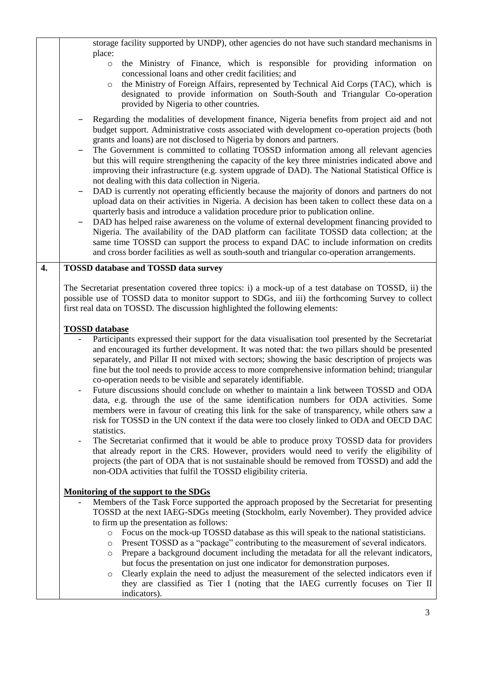|    | storage facility supported by UNDP), other agencies do not have such standard mechanisms in<br>place:                                                                                                                                                                                                                                                                                                                                                                                                                                                                                                                                                                                                                                                                                                                                                                                                                                                                                                                                                                                                                                                                                                                                                                                                                                                                                                                                                                                                                                                       |
|----|-------------------------------------------------------------------------------------------------------------------------------------------------------------------------------------------------------------------------------------------------------------------------------------------------------------------------------------------------------------------------------------------------------------------------------------------------------------------------------------------------------------------------------------------------------------------------------------------------------------------------------------------------------------------------------------------------------------------------------------------------------------------------------------------------------------------------------------------------------------------------------------------------------------------------------------------------------------------------------------------------------------------------------------------------------------------------------------------------------------------------------------------------------------------------------------------------------------------------------------------------------------------------------------------------------------------------------------------------------------------------------------------------------------------------------------------------------------------------------------------------------------------------------------------------------------|
|    | the Ministry of Finance, which is responsible for providing information on<br>$\circ$<br>concessional loans and other credit facilities; and<br>the Ministry of Foreign Affairs, represented by Technical Aid Corps (TAC), which is<br>$\circ$<br>designated to provide information on South-South and Triangular Co-operation<br>provided by Nigeria to other countries.                                                                                                                                                                                                                                                                                                                                                                                                                                                                                                                                                                                                                                                                                                                                                                                                                                                                                                                                                                                                                                                                                                                                                                                   |
|    | Regarding the modalities of development finance, Nigeria benefits from project aid and not<br>budget support. Administrative costs associated with development co-operation projects (both<br>grants and loans) are not disclosed to Nigeria by donors and partners.<br>The Government is committed to collating TOSSD information among all relevant agencies<br>but this will require strengthening the capacity of the key three ministries indicated above and<br>improving their infrastructure (e.g. system upgrade of DAD). The National Statistical Office is<br>not dealing with this data collection in Nigeria.<br>DAD is currently not operating efficiently because the majority of donors and partners do not<br>upload data on their activities in Nigeria. A decision has been taken to collect these data on a<br>quarterly basis and introduce a validation procedure prior to publication online.<br>DAD has helped raise awareness on the volume of external development financing provided to<br>Nigeria. The availability of the DAD platform can facilitate TOSSD data collection; at the<br>same time TOSSD can support the process to expand DAC to include information on credits<br>and cross border facilities as well as south-south and triangular co-operation arrangements.                                                                                                                                                                                                                                                 |
| 4. | <b>TOSSD database and TOSSD data survey</b>                                                                                                                                                                                                                                                                                                                                                                                                                                                                                                                                                                                                                                                                                                                                                                                                                                                                                                                                                                                                                                                                                                                                                                                                                                                                                                                                                                                                                                                                                                                 |
|    | The Secretariat presentation covered three topics: i) a mock-up of a test database on TOSSD, ii) the<br>possible use of TOSSD data to monitor support to SDGs, and iii) the forthcoming Survey to collect<br>first real data on TOSSD. The discussion highlighted the following elements:<br><b>TOSSD</b> database<br>Participants expressed their support for the data visualisation tool presented by the Secretariat<br>and encouraged its further development. It was noted that: the two pillars should be presented<br>separately, and Pillar II not mixed with sectors; showing the basic description of projects was<br>fine but the tool needs to provide access to more comprehensive information behind; triangular<br>co-operation needs to be visible and separately identifiable.<br>Future discussions should conclude on whether to maintain a link between TOSSD and ODA<br>data, e.g. through the use of the same identification numbers for ODA activities. Some<br>members were in favour of creating this link for the sake of transparency, while others saw a<br>risk for TOSSD in the UN context if the data were too closely linked to ODA and OECD DAC<br>statistics.<br>The Secretariat confirmed that it would be able to produce proxy TOSSD data for providers<br>that already report in the CRS. However, providers would need to verify the eligibility of<br>projects (the part of ODA that is not sustainable should be removed from TOSSD) and add the<br>non-ODA activities that fulfil the TOSSD eligibility criteria. |
|    | Monitoring of the support to the SDGs<br>Members of the Task Force supported the approach proposed by the Secretariat for presenting<br>TOSSD at the next IAEG-SDGs meeting (Stockholm, early November). They provided advice<br>to firm up the presentation as follows:<br>• Focus on the mock-up TOSSD database as this will speak to the national statisticians.<br>Present TOSSD as a "package" contributing to the measurement of several indicators.<br>$\circ$<br>Prepare a background document including the metadata for all the relevant indicators,<br>$\circ$<br>but focus the presentation on just one indicator for demonstration purposes.<br>Clearly explain the need to adjust the measurement of the selected indicators even if<br>$\circ$<br>they are classified as Tier I (noting that the IAEG currently focuses on Tier II<br>indicators).                                                                                                                                                                                                                                                                                                                                                                                                                                                                                                                                                                                                                                                                                           |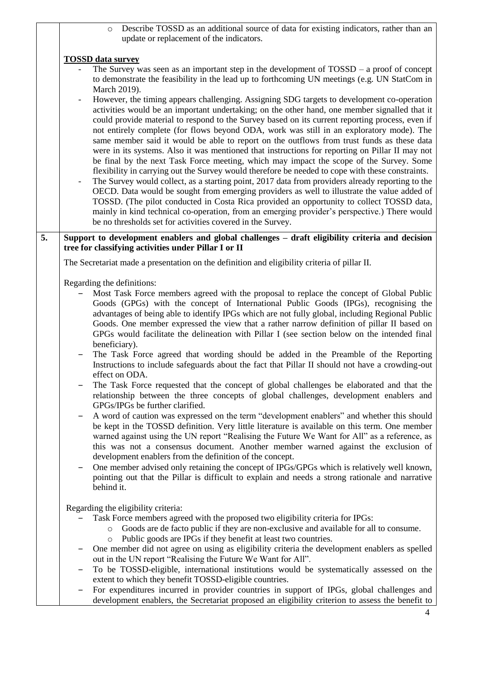o Describe TOSSD as an additional source of data for existing indicators, rather than an update or replacement of the indicators.

## **TOSSD data survey**

The Survey was seen as an important step in the development of  $TOSSD - a$  proof of concept to demonstrate the feasibility in the lead up to forthcoming UN meetings (e.g. UN StatCom in March 2019).

However, the timing appears challenging. Assigning SDG targets to development co-operation activities would be an important undertaking; on the other hand, one member signalled that it could provide material to respond to the Survey based on its current reporting process, even if not entirely complete (for flows beyond ODA, work was still in an exploratory mode). The same member said it would be able to report on the outflows from trust funds as these data were in its systems. Also it was mentioned that instructions for reporting on Pillar II may not be final by the next Task Force meeting, which may impact the scope of the Survey. Some flexibility in carrying out the Survey would therefore be needed to cope with these constraints.

The Survey would collect, as a starting point, 2017 data from providers already reporting to the OECD. Data would be sought from emerging providers as well to illustrate the value added of TOSSD. (The pilot conducted in Costa Rica provided an opportunity to collect TOSSD data, mainly in kind technical co-operation, from an emerging provider's perspective.) There would be no thresholds set for activities covered in the Survey.

## **5. Support to development enablers and global challenges – draft eligibility criteria and decision tree for classifying activities under Pillar I or II**

The Secretariat made a presentation on the definition and eligibility criteria of pillar II.

Regarding the definitions:

- ‒ Most Task Force members agreed with the proposal to replace the concept of Global Public Goods (GPGs) with the concept of International Public Goods (IPGs), recognising the advantages of being able to identify IPGs which are not fully global, including Regional Public Goods. One member expressed the view that a rather narrow definition of pillar II based on GPGs would facilitate the delineation with Pillar I (see section below on the intended final beneficiary).
- ‒ The Task Force agreed that wording should be added in the Preamble of the Reporting Instructions to include safeguards about the fact that Pillar II should not have a crowding-out effect on ODA.
- ‒ The Task Force requested that the concept of global challenges be elaborated and that the relationship between the three concepts of global challenges, development enablers and GPGs/IPGs be further clarified.
- ‒ A word of caution was expressed on the term "development enablers" and whether this should be kept in the TOSSD definition. Very little literature is available on this term. One member warned against using the UN report "Realising the Future We Want for All" as a reference, as this was not a consensus document. Another member warned against the exclusion of development enablers from the definition of the concept.
- ‒ One member advised only retaining the concept of IPGs/GPGs which is relatively well known, pointing out that the Pillar is difficult to explain and needs a strong rationale and narrative behind it.

Regarding the eligibility criteria:

- Task Force members agreed with the proposed two eligibility criteria for IPGs:
	- o Goods are de facto public if they are non-exclusive and available for all to consume.
	- o Public goods are IPGs if they benefit at least two countries.
- ‒ One member did not agree on using as eligibility criteria the development enablers as spelled out in the UN report "Realising the Future We Want for All".
- ‒ To be TOSSD-eligible, international institutions would be systematically assessed on the extent to which they benefit TOSSD-eligible countries.
- ‒ For expenditures incurred in provider countries in support of IPGs, global challenges and development enablers, the Secretariat proposed an eligibility criterion to assess the benefit to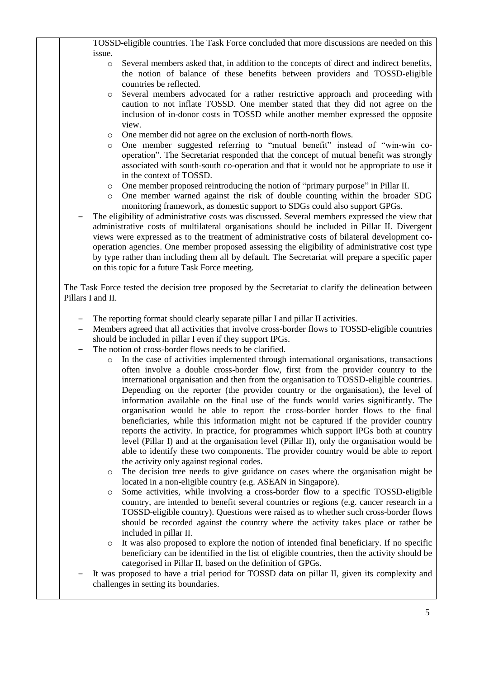TOSSD-eligible countries. The Task Force concluded that more discussions are needed on this issue.

- o Several members asked that, in addition to the concepts of direct and indirect benefits, the notion of balance of these benefits between providers and TOSSD-eligible countries be reflected.
- Several members advocated for a rather restrictive approach and proceeding with caution to not inflate TOSSD. One member stated that they did not agree on the inclusion of in-donor costs in TOSSD while another member expressed the opposite view.
- o One member did not agree on the exclusion of north-north flows.
- o One member suggested referring to "mutual benefit" instead of "win-win cooperation". The Secretariat responded that the concept of mutual benefit was strongly associated with south-south co-operation and that it would not be appropriate to use it in the context of TOSSD.
- o One member proposed reintroducing the notion of "primary purpose" in Pillar II.
- o One member warned against the risk of double counting within the broader SDG monitoring framework, as domestic support to SDGs could also support GPGs.

‒ The eligibility of administrative costs was discussed. Several members expressed the view that administrative costs of multilateral organisations should be included in Pillar II. Divergent views were expressed as to the treatment of administrative costs of bilateral development cooperation agencies. One member proposed assessing the eligibility of administrative cost type by type rather than including them all by default. The Secretariat will prepare a specific paper on this topic for a future Task Force meeting.

The Task Force tested the decision tree proposed by the Secretariat to clarify the delineation between Pillars I and II.

- The reporting format should clearly separate pillar I and pillar II activities.
- ‒ Members agreed that all activities that involve cross-border flows to TOSSD-eligible countries should be included in pillar I even if they support IPGs.
- The notion of cross-border flows needs to be clarified.
	- o In the case of activities implemented through international organisations, transactions often involve a double cross-border flow, first from the provider country to the international organisation and then from the organisation to TOSSD-eligible countries. Depending on the reporter (the provider country or the organisation), the level of information available on the final use of the funds would varies significantly. The organisation would be able to report the cross-border border flows to the final beneficiaries, while this information might not be captured if the provider country reports the activity. In practice, for programmes which support IPGs both at country level (Pillar I) and at the organisation level (Pillar II), only the organisation would be able to identify these two components. The provider country would be able to report the activity only against regional codes.
	- The decision tree needs to give guidance on cases where the organisation might be located in a non-eligible country (e.g. ASEAN in Singapore).
	- Some activities, while involving a cross-border flow to a specific TOSSD-eligible country, are intended to benefit several countries or regions (e.g. cancer research in a TOSSD-eligible country). Questions were raised as to whether such cross-border flows should be recorded against the country where the activity takes place or rather be included in pillar II.
	- o It was also proposed to explore the notion of intended final beneficiary. If no specific beneficiary can be identified in the list of eligible countries, then the activity should be categorised in Pillar II, based on the definition of GPGs.
- ‒ It was proposed to have a trial period for TOSSD data on pillar II, given its complexity and challenges in setting its boundaries.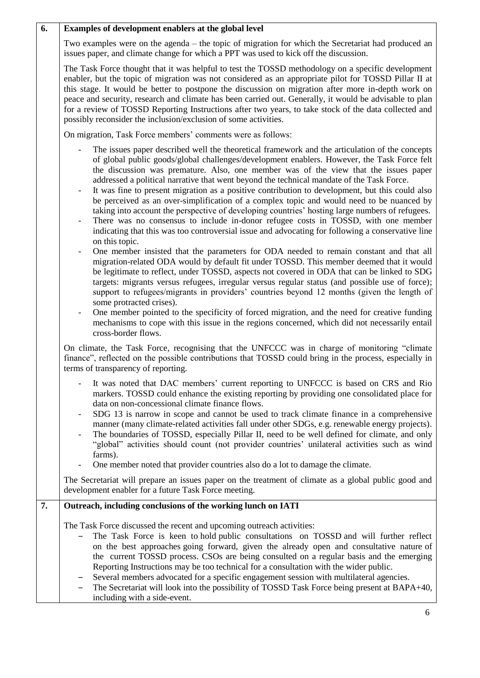| 6. | Examples of development enablers at the global level                                                                                                                                                                                                                                                                                                                                                                                                                                                                                                                                                                                                                                                                                                                                                                                                                                                                           |
|----|--------------------------------------------------------------------------------------------------------------------------------------------------------------------------------------------------------------------------------------------------------------------------------------------------------------------------------------------------------------------------------------------------------------------------------------------------------------------------------------------------------------------------------------------------------------------------------------------------------------------------------------------------------------------------------------------------------------------------------------------------------------------------------------------------------------------------------------------------------------------------------------------------------------------------------|
|    | Two examples were on the agenda – the topic of migration for which the Secretariat had produced an<br>issues paper, and climate change for which a PPT was used to kick off the discussion.                                                                                                                                                                                                                                                                                                                                                                                                                                                                                                                                                                                                                                                                                                                                    |
|    | The Task Force thought that it was helpful to test the TOSSD methodology on a specific development<br>enabler, but the topic of migration was not considered as an appropriate pilot for TOSSD Pillar II at<br>this stage. It would be better to postpone the discussion on migration after more in-depth work on<br>peace and security, research and climate has been carried out. Generally, it would be advisable to plan<br>for a review of TOSSD Reporting Instructions after two years, to take stock of the data collected and<br>possibly reconsider the inclusion/exclusion of some activities.                                                                                                                                                                                                                                                                                                                       |
|    | On migration, Task Force members' comments were as follows:                                                                                                                                                                                                                                                                                                                                                                                                                                                                                                                                                                                                                                                                                                                                                                                                                                                                    |
|    | The issues paper described well the theoretical framework and the articulation of the concepts<br>of global public goods/global challenges/development enablers. However, the Task Force felt<br>the discussion was premature. Also, one member was of the view that the issues paper<br>addressed a political narrative that went beyond the technical mandate of the Task Force.<br>It was fine to present migration as a positive contribution to development, but this could also<br>$\overline{\phantom{a}}$<br>be perceived as an over-simplification of a complex topic and would need to be nuanced by<br>taking into account the perspective of developing countries' hosting large numbers of refugees.<br>There was no consensus to include in-donor refugee costs in TOSSD, with one member<br>indicating that this was too controversial issue and advocating for following a conservative line<br>on this topic. |
|    | One member insisted that the parameters for ODA needed to remain constant and that all<br>migration-related ODA would by default fit under TOSSD. This member deemed that it would<br>be legitimate to reflect, under TOSSD, aspects not covered in ODA that can be linked to SDG<br>targets: migrants versus refugees, irregular versus regular status (and possible use of force);<br>support to refugees/migrants in providers' countries beyond 12 months (given the length of<br>some protracted crises).<br>One member pointed to the specificity of forced migration, and the need for creative funding<br>mechanisms to cope with this issue in the regions concerned, which did not necessarily entail<br>cross-border flows.                                                                                                                                                                                         |
|    | On climate, the Task Force, recognising that the UNFCCC was in charge of monitoring "climate<br>finance", reflected on the possible contributions that TOSSD could bring in the process, especially in<br>terms of transparency of reporting.                                                                                                                                                                                                                                                                                                                                                                                                                                                                                                                                                                                                                                                                                  |
|    | It was noted that DAC members' current reporting to UNFCCC is based on CRS and Rio<br>markers. TOSSD could enhance the existing reporting by providing one consolidated place for<br>data on non-concessional climate finance flows.<br>SDG 13 is narrow in scope and cannot be used to track climate finance in a comprehensive<br>manner (many climate-related activities fall under other SDGs, e.g. renewable energy projects).<br>The boundaries of TOSSD, especially Pillar II, need to be well defined for climate, and only<br>"global" activities should count (not provider countries' unilateral activities such as wind<br>farms).<br>One member noted that provider countries also do a lot to damage the climate.                                                                                                                                                                                                |
|    | The Secretariat will prepare an issues paper on the treatment of climate as a global public good and<br>development enabler for a future Task Force meeting.                                                                                                                                                                                                                                                                                                                                                                                                                                                                                                                                                                                                                                                                                                                                                                   |
| 7. | Outreach, including conclusions of the working lunch on IATI                                                                                                                                                                                                                                                                                                                                                                                                                                                                                                                                                                                                                                                                                                                                                                                                                                                                   |
|    | The Task Force discussed the recent and upcoming outreach activities:<br>The Task Force is keen to hold public consultations on TOSSD and will further reflect<br>on the best approaches going forward, given the already open and consultative nature of<br>the current TOSSD process. CSOs are being consulted on a regular basis and the emerging<br>Reporting Instructions may be too technical for a consultation with the wider public.<br>Several members advocated for a specific engagement session with multilateral agencies.<br>The Secretariat will look into the possibility of TOSSD Task Force being present at BAPA+40,<br>including with a side-event.                                                                                                                                                                                                                                                       |